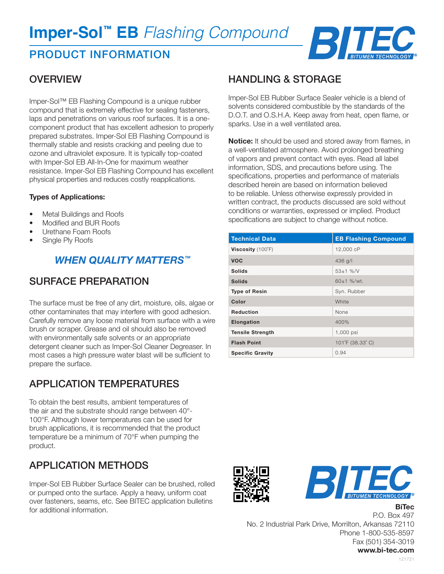# **Imper-Sol™ EB** *Flashing Compound*

# PRODUCT INFORMATION



### **OVERVIEW**

Imper-Sol™ EB Flashing Compound is a unique rubber compound that is extremely effective for sealing fasteners, laps and penetrations on various roof surfaces. It is a onecomponent product that has excellent adhesion to properly prepared substrates. Imper-Sol EB Flashing Compound is thermally stable and resists cracking and peeling due to ozone and ultraviolet exposure. It is typically top-coated with Imper-Sol EB All-In-One for maximum weather resistance. Imper-Sol EB Flashing Compound has excellent physical properties and reduces costly reapplications.

#### **Types of Applications:**

- Metal Buildings and Roofs
- Modified and BUR Roofs
- Urethane Foam Roofs
- Single Ply Roofs

### *WHEN QUALITY MATTERS™*

### SURFACE PREPARATION

The surface must be free of any dirt, moisture, oils, algae or other contaminates that may interfere with good adhesion. Carefully remove any loose material from surface with a wire brush or scraper. Grease and oil should also be removed with environmentally safe solvents or an appropriate detergent cleaner such as Imper-Sol Cleaner Degreaser. In most cases a high pressure water blast will be sufficient to prepare the surface.

### APPLICATION TEMPERATURES

To obtain the best results, ambient temperatures of the air and the substrate should range between 40°- 100°F. Although lower temperatures can be used for brush applications, it is recommended that the product temperature be a minimum of 70°F when pumping the product.

# APPLICATION METHODS

Imper-Sol EB Rubber Surface Sealer can be brushed, rolled or pumped onto the surface. Apply a heavy, uniform coat over fasteners, seams, etc. See BITEC application bulletins for additional information.

### HANDLING & STORAGE

Imper-Sol EB Rubber Surface Sealer vehicle is a blend of solvents considered combustible by the standards of the D.O.T. and O.S.H.A. Keep away from heat, open flame, or sparks. Use in a well ventilated area.

**Notice:** It should be used and stored away from flames, in a well-ventilated atmosphere. Avoid prolonged breathing of vapors and prevent contact with eyes. Read all label information, SDS, and precautions before using. The specifications, properties and performance of materials described herein are based on information believed to be reliable. Unless otherwise expressly provided in written contract, the products discussed are sold without conditions or warranties, expressed or implied. Product specifications are subject to change without notice.

| <b>Technical Data</b>      | <b>EB Flashing Compound</b> |
|----------------------------|-----------------------------|
| Viscosity $(100^{\circ}F)$ | 12,000 cP                   |
| <b>VOC</b>                 | $436$ g/l                   |
| <b>Solids</b>              | $53 \pm 1$ %/V              |
| <b>Solids</b>              | $60±1$ %/wt.                |
| <b>Type of Resin</b>       | Syn. Rubber                 |
| Color                      | White                       |
| <b>Reduction</b>           | None                        |
| Elongation                 | 400%                        |
| <b>Tensile Strength</b>    | 1,000 psi                   |
| <b>Flash Point</b>         | 101°F (38.33°C)             |
| <b>Specific Gravity</b>    | 0.94                        |





**BiTec**

P.O. Box 497 No. 2 Industrial Park Drive, Morrilton, Arkansas 72110 Phone 1-800-535-8597 Fax (501) 354-3019 **www.bi-tec.com**

121721